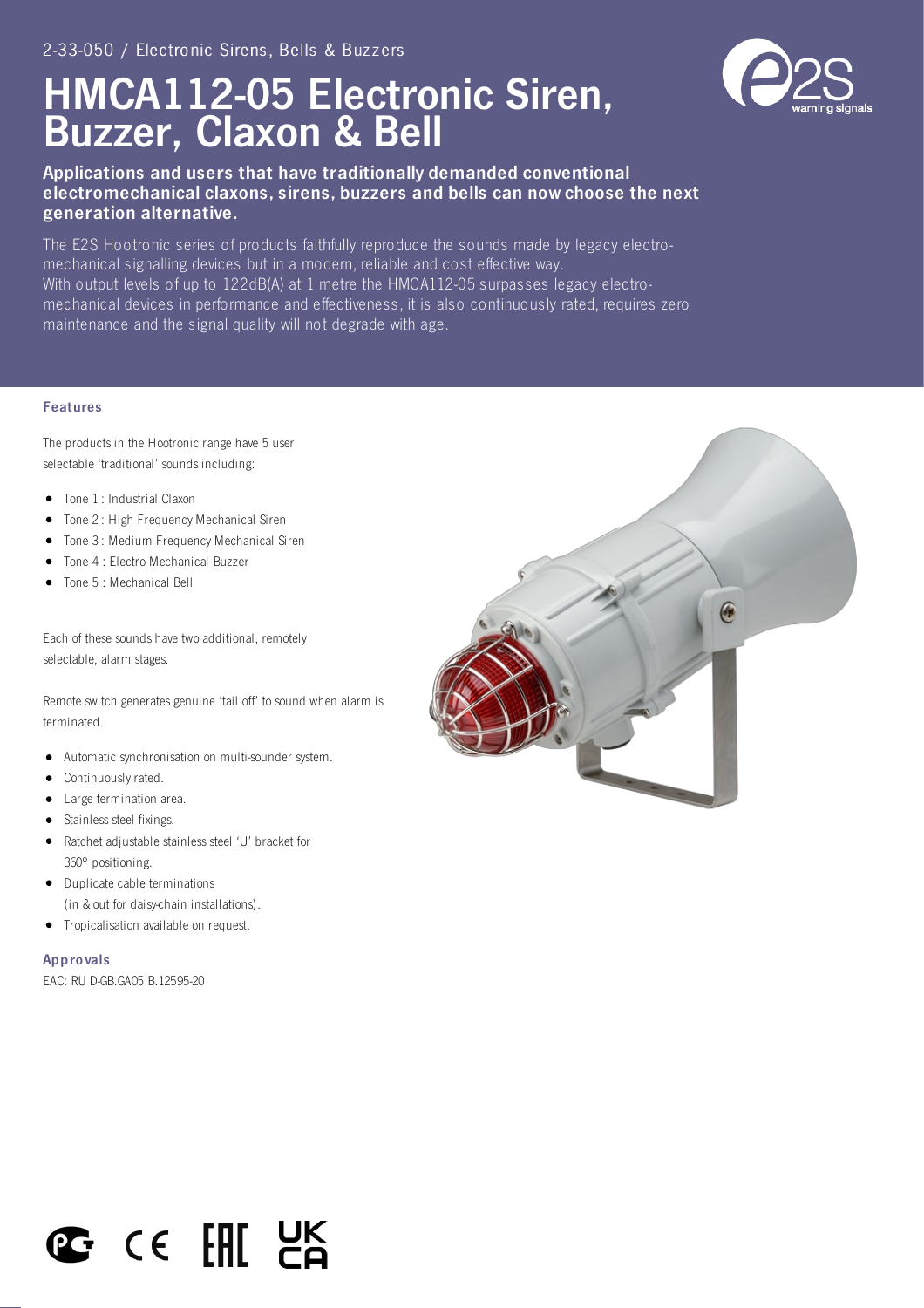# HMCA112-05 Electronic Siren, Buzzer, Claxon & Bell



## Applications and users that have traditionally demanded conventional electromechanical claxons, sirens, buzzers and bells can now choose the next generation alternative.

The E2S Hootronic series of products faithfully reproduce the sounds made by legacy electromechanical signalling devices but in a modern, reliable and cost effective way. With output levels of up to 122dB(A) at 1 metre the HMCA112-05 surpasses legacy electromechanical devices in performance and effectiveness, it is also continuously rated, requires zero maintenance and the signal quality will not degrade with age.

#### Features

The products in the Hootronic range have 5 user selectable 'traditional' sounds including:

- Tone 1 : Industrial Claxon
- Tone 2 : High Frequency Mechanical Siren
- Tone 3: Medium Frequency Mechanical Siren
- Tone 4 : Electro Mechanical Buzzer
- Tone 5 : Mechanical Bell

Each of these sounds have two additional, remotely selectable, alarm stages.

Remote switch generates genuine 'tail off' to sound when alarm is terminated.

- Automatic synchronisation on multi-sounder system.
- Continuously rated.
- Large termination area.
- Stainless steel fixings.
- Ratchet adjustable stainless steel 'U' bracket for 360° positioning.
- Duplicate cable terminations (in & out for daisy-chain installations).
- Tropicalisation available on request.

Appro vals

EAC: RU D-GB.GA05.B.12595-20



# C CE FHIL HE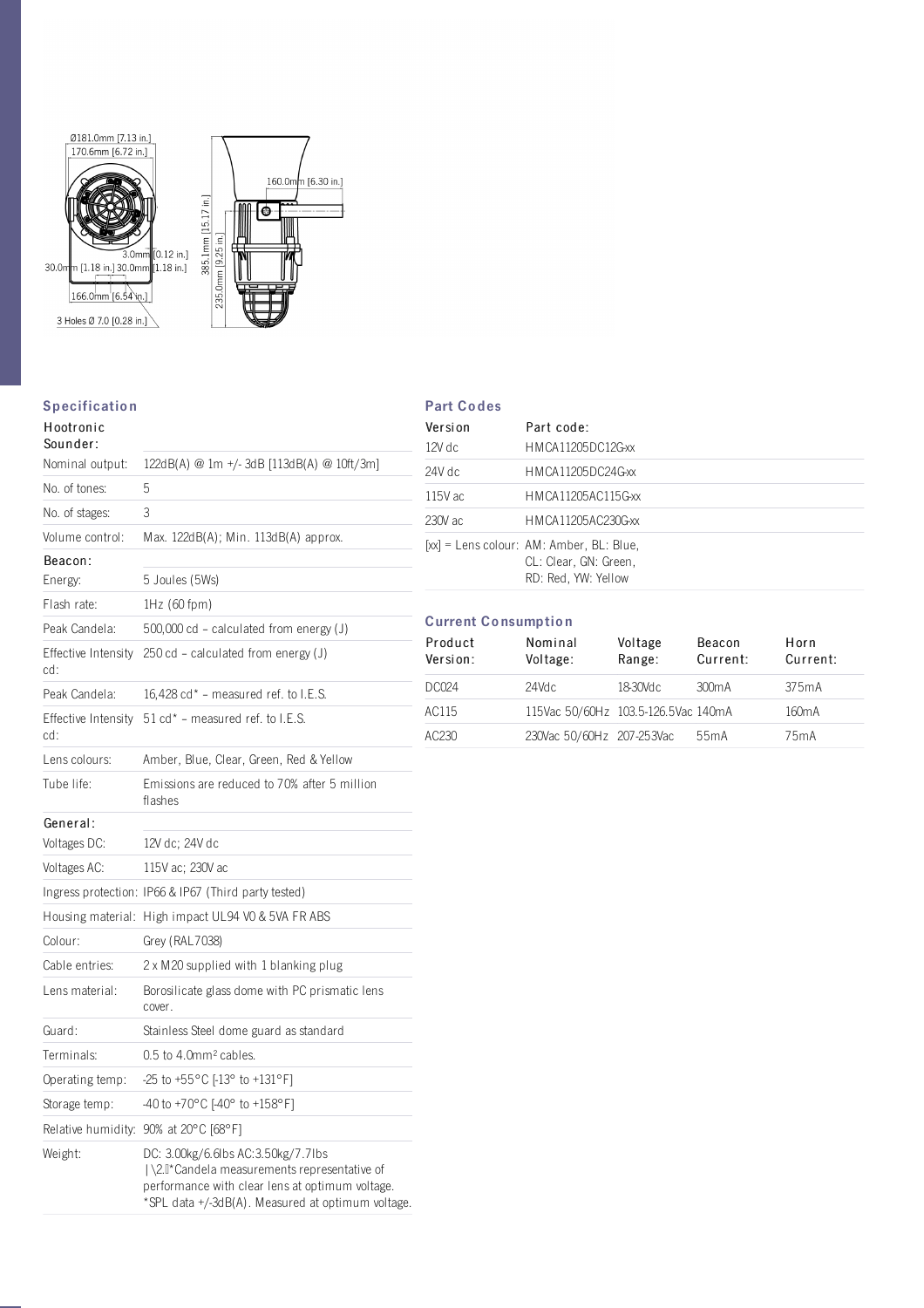

### **Specification**

| ----------                 |                                                                                                                                                                                              |  |  |
|----------------------------|----------------------------------------------------------------------------------------------------------------------------------------------------------------------------------------------|--|--|
| Hootronic<br>Sounder:      |                                                                                                                                                                                              |  |  |
| Nominal output:            | 122dB(A) @ 1m +/-3dB [113dB(A) @ 10ft/3m]                                                                                                                                                    |  |  |
| No. of tones:              | 5                                                                                                                                                                                            |  |  |
| No. of stages:             | 3                                                                                                                                                                                            |  |  |
| Volume control:            | Max. 122dB(A); Min. 113dB(A) approx.                                                                                                                                                         |  |  |
| Beacon:                    |                                                                                                                                                                                              |  |  |
| Energy:                    | 5 Joules (5Ws)                                                                                                                                                                               |  |  |
| Flash rate:                | $1Hz$ (60 fpm)                                                                                                                                                                               |  |  |
| Peak Candela:              | $500,000$ cd – calculated from energy (J)                                                                                                                                                    |  |  |
| Effective Intensity<br>cd: | 250 cd - calculated from energy (J)                                                                                                                                                          |  |  |
| Peak Candela:              | 16,428 $cd*$ – measured ref. to I.E.S.                                                                                                                                                       |  |  |
| Effective Intensity<br>cd: | 51 cd* - measured ref. to I.E.S.                                                                                                                                                             |  |  |
| Lens colours:              | Amber, Blue, Clear, Green, Red & Yellow                                                                                                                                                      |  |  |
| Tube life:                 | Emissions are reduced to 70% after 5 million<br>flashes                                                                                                                                      |  |  |
| General:                   |                                                                                                                                                                                              |  |  |
| Voltages DC:               | 12V dc; 24V dc                                                                                                                                                                               |  |  |
| Voltages AC:               | 115V ac; 230V ac                                                                                                                                                                             |  |  |
|                            | Ingress protection: IP66 & IP67 (Third party tested)                                                                                                                                         |  |  |
|                            | Housing material: High impact UL94 VO & 5VA FR ABS                                                                                                                                           |  |  |
| Colour:                    | Grey (RAL7038)                                                                                                                                                                               |  |  |
| Cable entries:             | 2 x M20 supplied with 1 blanking plug                                                                                                                                                        |  |  |
| Lens material:             | Borosilicate glass dome with PC prismatic lens<br>cover.                                                                                                                                     |  |  |
| Guard:                     | Stainless Steel dome guard as standard                                                                                                                                                       |  |  |
| Terminals:                 | 0.5 to 4.0mm <sup>2</sup> cables.                                                                                                                                                            |  |  |
| Operating temp:            | -25 to +55°C [-13° to +131°F]                                                                                                                                                                |  |  |
| Storage temp:              | -40 to +70°C [-40° to +158°F]                                                                                                                                                                |  |  |
|                            | Relative humidity: 90% at 20°C [68°F]                                                                                                                                                        |  |  |
| Weight:                    | DC: 3.00kg/6.6lbs AC:3.50kg/7.7lbs<br>  \2.0* Candela measurements representative of<br>performance with clear lens at optimum voltage.<br>*SPL data +/-3dB(A). Measured at optimum voltage. |  |  |

|  | <b>Part Codes</b> |  |
|--|-------------------|--|
|--|-------------------|--|

| Version   | Part code:                                                                                 |
|-----------|--------------------------------------------------------------------------------------------|
| $12V$ dc  | HMCA11205DC12G-xx                                                                          |
| 24V dc    | HMCA11205DC24G-xx                                                                          |
| $115V$ ac | HMCA11205AC115G-xx                                                                         |
| 230V ac   | HMCA11205AC230G-xx                                                                         |
|           | $[xx] =$ Lens colour: AM: Amber, BL: Blue,<br>CL: Clear, GN: Green,<br>RD: Red, YW: Yellow |

### Current Co nsumptio n

| Product<br>Version: | Nominal<br>Voltage:                 | Voltage<br>Range: | Beacon<br>Current: | Horn<br>Current:   |
|---------------------|-------------------------------------|-------------------|--------------------|--------------------|
| DC024               | 24Vdc                               | 18-30Vdc          | 300 <sub>m</sub> A | 375mA              |
| AC115               | 115Vac 50/60Hz 103.5-126.5Vac 140mA |                   |                    | 160 <sub>m</sub> A |
| AC230               | 230Vac 50/60Hz 207-253Vac           |                   | 55mA               | 75 <sub>m</sub> A  |